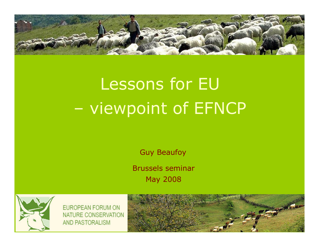

# Lessons for EU viewpoint of EFNCP

Guy Beaufoy

Brussels seminar May 2008



**EUROPEAN FORUM ON** NATURE CONSERVATION AND PASTORALISM

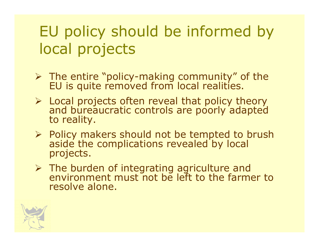# EU policy should be informed by local projects

- The entire "policy-making community" of the EU is quite removed from local realities.
- $\triangleright$  Local projects often reveal that policy theory and bureaucratic controls are poorly adapted to reality.
- $\triangleright$  Policy makers should not be tempted to brush<br>aside the complications revealed by local aside the complications revealed by local projects.
- $\triangleright$  The burden of integrating agriculture and environment must not be left to the farmer to resolve alone.

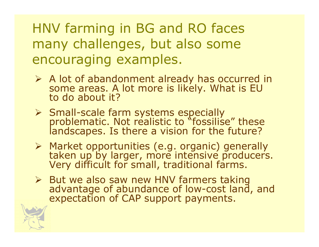## HNV farming in BG and RO faces many challenges, but also some encouraging examples.

- $\triangleright$  A lot of abandonment already has occurred in<br>Some areas A lot more is likely What is FU some areas. A lot more is likely. What is EU to do about it?
- Small-scale farm systems especially problematic. Not realistic to "fossilise" these landscapes. Is there a vision for the future?
- > Market opportunities (e.g. organic) generally Market opportunities (e.g. organic) generally taken up by larger, more intensive producers.<br>Very difficult for small, traditional farms.
- > But we also saw new HNV farmers taking advantage of abundance of low-cost land, and expectation of CAP support payments.

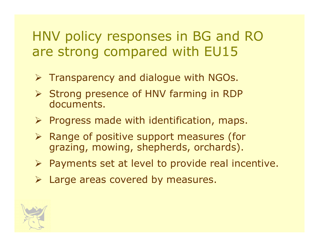## HNV policy responses in BG and RO are strong compared with EU15

- $\triangleright$  Transparency and dialogue with NGOs.
- Strong presence of HNV farming in RDP documents.
- $\triangleright$  Progress made with identification, maps.
- > Range of positive support measures (for<br>arazing mowing shaphards orchards) grazing, mowing, shepherds, orchards).
- $\triangleright$  Payments set at level to provide real incentive.
- Large areas covered by measures.

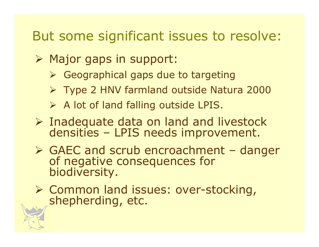#### But some significant issues to resolve:

- > Major gaps in support:
	- Geographical gaps due to targeting
	- Type 2 HNV farmland outside Natura 2000
	- A lot of land falling outside LPIS.
- $\triangleright$  Inadequate data on land and livestock<br>densities I PIS needs improvement densities – LPIS needs improvement.
- GAEC and scrub encroachment danger<br>of negative consequences for<br>biodiversity.
- Common land issues: over-stocking, shepherding, etc.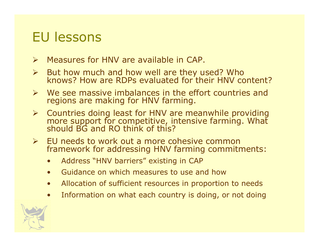### EU lessons

- $\blacktriangleright$
- Measures for HNV are available in CAP.<br>But how much and how well are they used? Who  $\blacktriangleright$ But how much and how well are they used? Who knows? How are RDPs evaluated for their HNV content?
- $\triangleright$  We see massive imbalances in the effort countries and<br>regions are making for HNV farming regions are making for HNV farming.
- Countries doing least for HNV are meanwhile providing more support for competitive, intensive farming. What should BG and RO think of this?
- EU needs to work out a more cohesive common<br>framework for addressing HNV farming commitm framework for addressing HNV farming commitments:
	- •Address "HNV barriers" existing in CAP
	- $\bullet$ Guidance on which measures to use and how
	- $\bullet$ Allocation of sufficient resources in proportion to needs
	- •Information on what each country is doing, or not doing

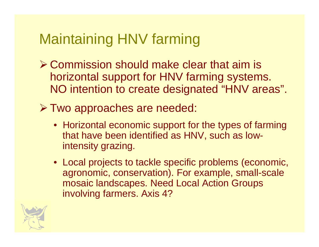# Maintaining HNV farming

Commission should make clear that aim is<br>borizontal support for HNN farming systems horizontal support for HNV farming systems. NO intention to create designated "HNV areas".

Two approaches are needed:

- Horizontal economic support for the types of farming that have been identified as HNV, such as lowintensity grazing.
- Local projects to tackle specific problems (economic, agronomic, conservation). For example, small-scale mosaic landscapes. Need Local Action Groups involving farmers. Axis 4?

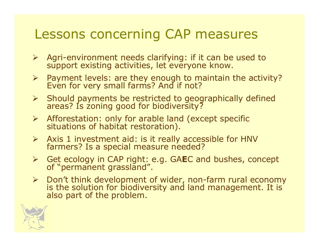#### Lessons concerning CAP measures

- Agri-environment needs clarifying: if it can be used to support existing activities, let everyone know.
- $\blacktriangleright$ Payment levels: are they enough to maintain the activity? Even for very small farms? And if not?
- Should payments be restricted to geographically defined areas? Is zoning good for biodiversity?
- Afforestation: only for arable land (except specific situations of habitat restoration).
- Axis 1 investment aid: is it really accessible for HNV farmers? Is a special measure needed?
- > Get ecology in CAP right: e.g. GAEC and bushes, concept of "permanent grassland".
- $\blacktriangleright$ Don't think development of wider, non-farm rural economy is the solution for biodiversity and land management. It is also part of the problem.